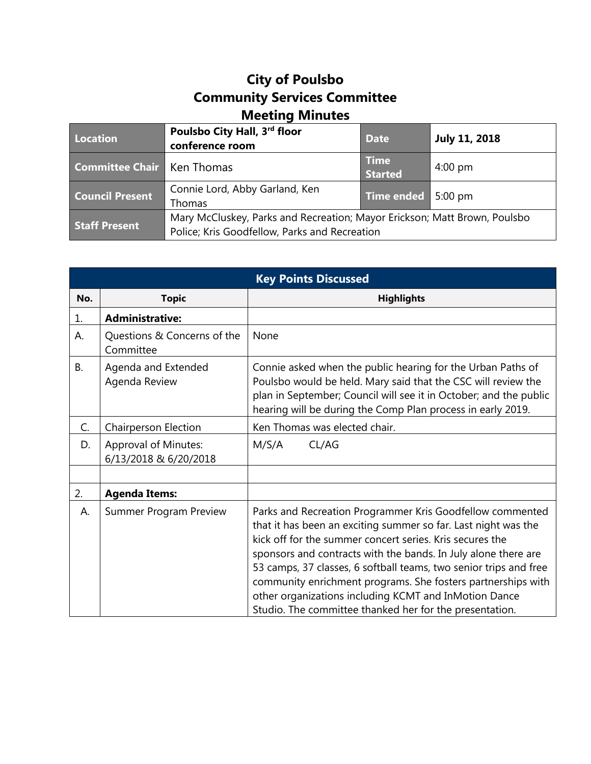## **City of Poulsbo Community Services Committee Meeting Minutes**

| Location                            | Poulsbo City Hall, 3rd floor<br>conference room                                                                            | <b>Date</b>                   | <b>July 11, 2018</b> |
|-------------------------------------|----------------------------------------------------------------------------------------------------------------------------|-------------------------------|----------------------|
| <b>Committee Chair   Ken Thomas</b> |                                                                                                                            | <b>Time</b><br><b>Started</b> | $4:00 \text{ pm}$    |
| <b>Council Present</b>              | Connie Lord, Abby Garland, Ken<br><b>Thomas</b>                                                                            | Time ended 5:00 pm            |                      |
| <b>Staff Present</b>                | Mary McCluskey, Parks and Recreation; Mayor Erickson; Matt Brown, Poulsbo<br>Police; Kris Goodfellow, Parks and Recreation |                               |                      |

| <b>Key Points Discussed</b> |                                                      |                                                                                                                                                                                                                                                                                                                                                                                                                                                                                                                    |  |  |
|-----------------------------|------------------------------------------------------|--------------------------------------------------------------------------------------------------------------------------------------------------------------------------------------------------------------------------------------------------------------------------------------------------------------------------------------------------------------------------------------------------------------------------------------------------------------------------------------------------------------------|--|--|
| No.                         | <b>Topic</b>                                         | <b>Highlights</b>                                                                                                                                                                                                                                                                                                                                                                                                                                                                                                  |  |  |
| 1.                          | <b>Administrative:</b>                               |                                                                                                                                                                                                                                                                                                                                                                                                                                                                                                                    |  |  |
| А.                          | Questions & Concerns of the<br>Committee             | None                                                                                                                                                                                                                                                                                                                                                                                                                                                                                                               |  |  |
| <b>B.</b>                   | Agenda and Extended<br>Agenda Review                 | Connie asked when the public hearing for the Urban Paths of<br>Poulsbo would be held. Mary said that the CSC will review the<br>plan in September; Council will see it in October; and the public<br>hearing will be during the Comp Plan process in early 2019.                                                                                                                                                                                                                                                   |  |  |
| C.                          | <b>Chairperson Election</b>                          | Ken Thomas was elected chair.                                                                                                                                                                                                                                                                                                                                                                                                                                                                                      |  |  |
| D.                          | <b>Approval of Minutes:</b><br>6/13/2018 & 6/20/2018 | M/S/A<br>CL/AG                                                                                                                                                                                                                                                                                                                                                                                                                                                                                                     |  |  |
|                             |                                                      |                                                                                                                                                                                                                                                                                                                                                                                                                                                                                                                    |  |  |
| 2.                          | <b>Agenda Items:</b>                                 |                                                                                                                                                                                                                                                                                                                                                                                                                                                                                                                    |  |  |
| Α.                          | <b>Summer Program Preview</b>                        | Parks and Recreation Programmer Kris Goodfellow commented<br>that it has been an exciting summer so far. Last night was the<br>kick off for the summer concert series. Kris secures the<br>sponsors and contracts with the bands. In July alone there are<br>53 camps, 37 classes, 6 softball teams, two senior trips and free<br>community enrichment programs. She fosters partnerships with<br>other organizations including KCMT and InMotion Dance<br>Studio. The committee thanked her for the presentation. |  |  |